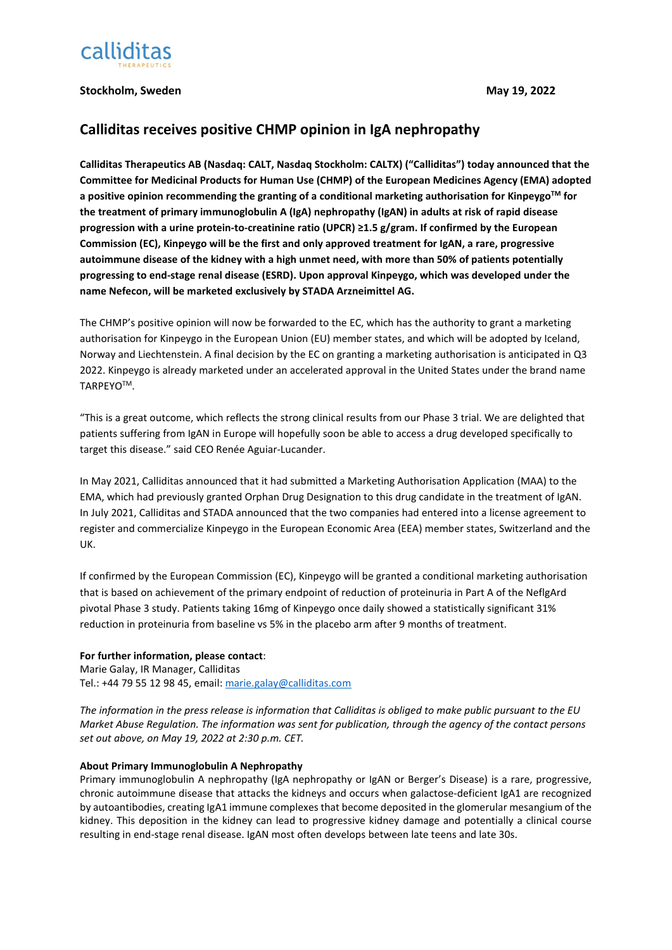

## **Stockholm, Sweden May 19, 2022**

# **Calliditas receives positive CHMP opinion in IgA nephropathy**

**Calliditas Therapeutics AB (Nasdaq: CALT, Nasdaq Stockholm: CALTX) ("Calliditas") today announced that the Committee for Medicinal Products for Human Use (CHMP) of the European Medicines Agency (EMA) adopted a positive opinion recommending the granting of a conditional marketing authorisation for KinpeygoTM for the treatment of primary immunoglobulin A (IgA) nephropathy (IgAN) in adults at risk of rapid disease progression with a urine protein-to-creatinine ratio (UPCR) ≥1.5 g/gram. If confirmed by the European Commission (EC), Kinpeygo will be the first and only approved treatment for IgAN, a rare, progressive autoimmune disease of the kidney with a high unmet need, with more than 50% of patients potentially progressing to end-stage renal disease (ESRD). Upon approval Kinpeygo, which was developed under the name Nefecon, will be marketed exclusively by STADA Arzneimittel AG.**

The CHMP's positive opinion will now be forwarded to the EC, which has the authority to grant a marketing authorisation for Kinpeygo in the European Union (EU) member states, and which will be adopted by Iceland, Norway and Liechtenstein. A final decision by the EC on granting a marketing authorisation is anticipated in Q3 2022. Kinpeygo is already marketed under an accelerated approval in the United States under the brand name TARPEYOTM.

"This is a great outcome, which reflects the strong clinical results from our Phase 3 trial. We are delighted that patients suffering from IgAN in Europe will hopefully soon be able to access a drug developed specifically to target this disease." said CEO Renée Aguiar-Lucander.

In May 2021, Calliditas announced that it had submitted a Marketing Authorisation Application (MAA) to the EMA, which had previously granted Orphan Drug Designation to this drug candidate in the treatment of IgAN. In July 2021, Calliditas and STADA announced that the two companies had entered into a license agreement to register and commercialize Kinpeygo in the European Economic Area (EEA) member states, Switzerland and the UK.

If confirmed by the European Commission (EC), Kinpeygo will be granted a conditional marketing authorisation that is based on achievement of the primary endpoint of reduction of proteinuria in Part A of the NeflgArd pivotal Phase 3 study. Patients taking 16mg of Kinpeygo once daily showed a statistically significant 31% reduction in proteinuria from baseline vs 5% in the placebo arm after 9 months of treatment.

## **For further information, please contact**:

Marie Galay, IR Manager, Calliditas Tel.: +44 79 55 12 98 45, email[: marie.galay@calliditas.com](mailto:marie.galay@calliditas.com)

*The information in the press release is information that Calliditas is obliged to make public pursuant to the EU Market Abuse Regulation. The information was sent for publication, through the agency of the contact persons set out above, on May 19, 2022 at 2:30 p.m. CET.*

### **About Primary Immunoglobulin A Nephropathy**

Primary immunoglobulin A nephropathy (IgA nephropathy or IgAN or Berger's Disease) is a rare, progressive, chronic autoimmune disease that attacks the kidneys and occurs when galactose-deficient IgA1 are recognized by autoantibodies, creating IgA1 immune complexes that become deposited in the glomerular mesangium of the kidney. This deposition in the kidney can lead to progressive kidney damage and potentially a clinical course resulting in end-stage renal disease. IgAN most often develops between late teens and late 30s.